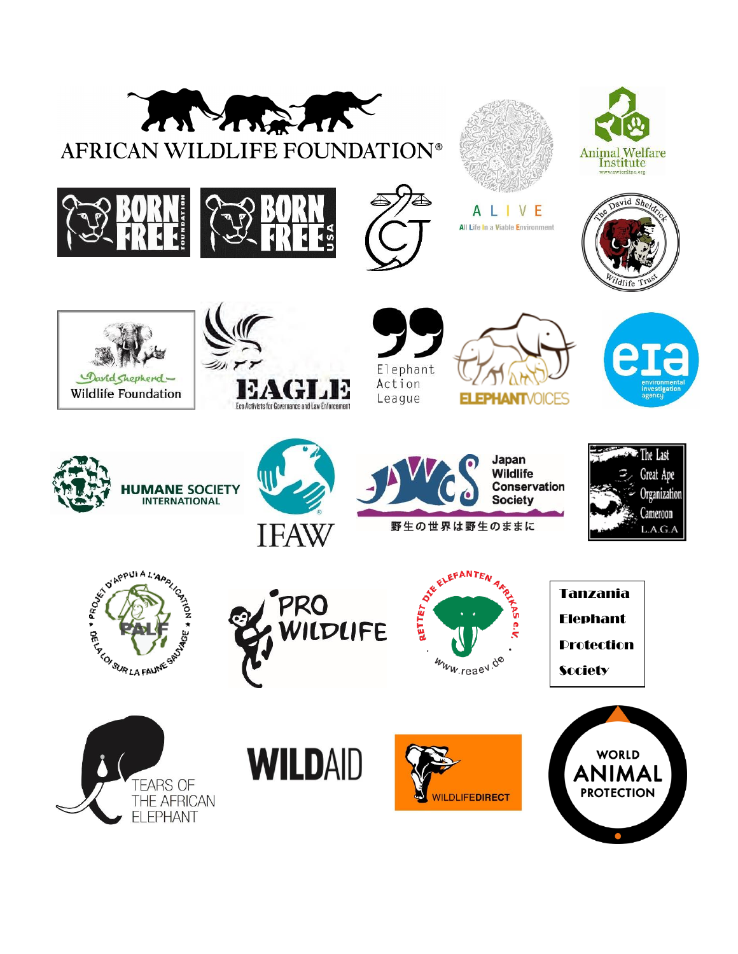































野生の世界は野生のままに









Tanzania Elephant Protection **Society** 







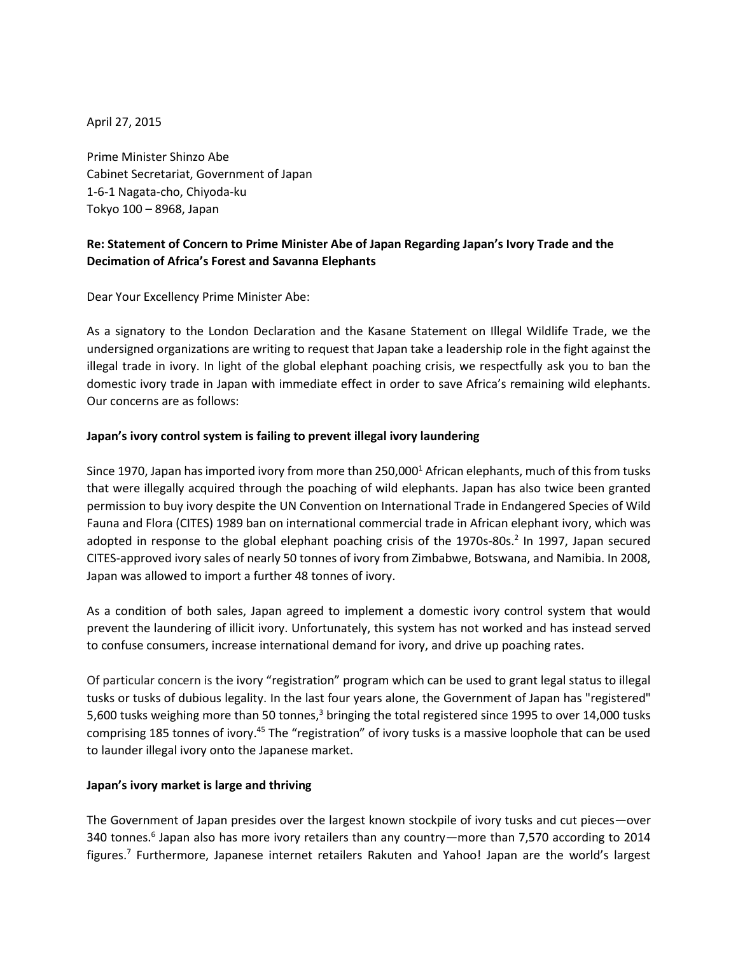April 27, 2015

Prime Minister Shinzo Abe Cabinet Secretariat, Government of Japan 1-6-1 Nagata-cho, Chiyoda-ku Tokyo 100 – 8968, Japan

# **Re: Statement of Concern to Prime Minister Abe of Japan Regarding Japan's Ivory Trade and the Decimation of Africa's Forest and Savanna Elephants**

Dear Your Excellency Prime Minister Abe:

As a signatory to the London Declaration and the Kasane Statement on Illegal Wildlife Trade, we the undersigned organizations are writing to request that Japan take a leadership role in the fight against the illegal trade in ivory. In light of the global elephant poaching crisis, we respectfully ask you to ban the domestic ivory trade in Japan with immediate effect in order to save Africa's remaining wild elephants. Our concerns are as follows:

### **Japan's ivory control system is failing to prevent illegal ivory laundering**

Since 1970, Japan has imported ivory from more than 250,000<sup>1</sup> African elephants, much of this from tusks that were illegally acquired through the poaching of wild elephants. Japan has also twice been granted permission to buy ivory despite the UN Convention on International Trade in Endangered Species of Wild Fauna and Flora (CITES) 1989 ban on international commercial trade in African elephant ivory, which was adopted in response to the global elephant poaching crisis of the 1970s-80s.<sup>2</sup> In 1997, Japan secured CITES-approved ivory sales of nearly 50 tonnes of ivory from Zimbabwe, Botswana, and Namibia. In 2008, Japan was allowed to import a further 48 tonnes of ivory.

As a condition of both sales, Japan agreed to implement a domestic ivory control system that would prevent the laundering of illicit ivory. Unfortunately, this system has not worked and has instead served to confuse consumers, increase international demand for ivory, and drive up poaching rates.

Of particular concern is the ivory "registration" program which can be used to grant legal status to illegal tusks or tusks of dubious legality. In the last four years alone, the Government of Japan has "registered" 5,600 tusks weighing more than 50 tonnes,<sup>3</sup> bringing the total registered since 1995 to over 14,000 tusks comprising 185 tonnes of ivory.<sup>45</sup> The "registration" of ivory tusks is a massive loophole that can be used to launder illegal ivory onto the Japanese market.

#### **Japan's ivory market is large and thriving**

The Government of Japan presides over the largest known stockpile of ivory tusks and cut pieces—over 340 tonnes.<sup>6</sup> Japan also has more ivory retailers than any country—more than 7,570 according to 2014 figures.<sup>7</sup> Furthermore, Japanese internet retailers Rakuten and Yahoo! Japan are the world's largest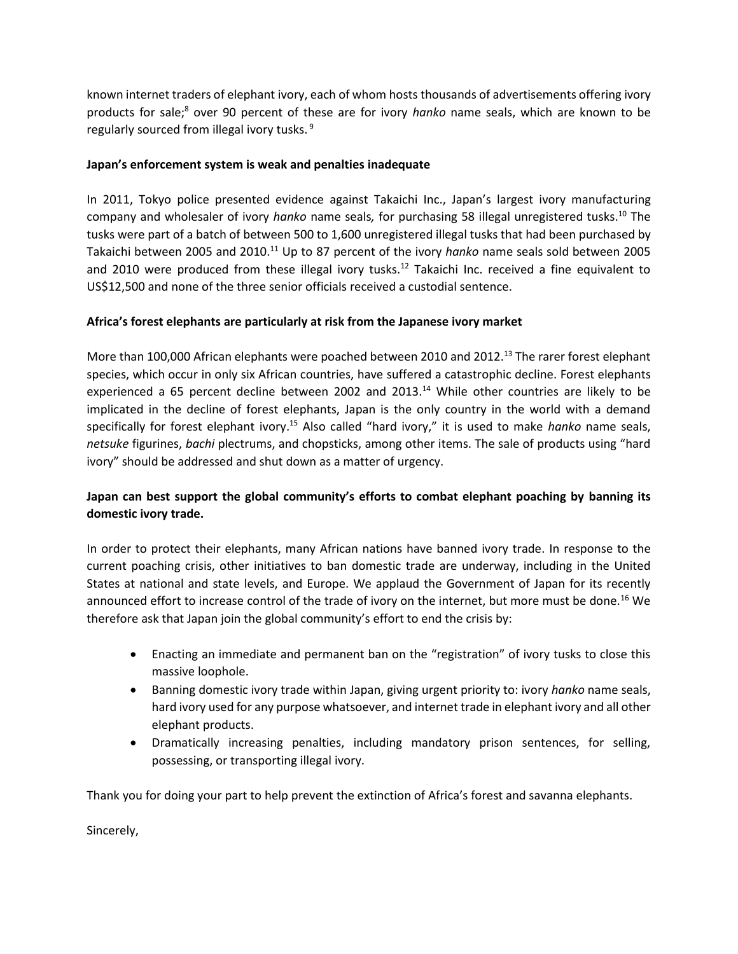known internet traders of elephant ivory, each of whom hosts thousands of advertisements offering ivory products for sale; <sup>8</sup> over 90 percent of these are for ivory *hanko* name seals, which are known to be regularly sourced from illegal ivory tusks.<sup>9</sup>

### **Japan's enforcement system is weak and penalties inadequate**

In 2011, Tokyo police presented evidence against Takaichi Inc., Japan's largest ivory manufacturing company and wholesaler of ivory *hanko* name seals*,* for purchasing 58 illegal unregistered tusks.<sup>10</sup> The tusks were part of a batch of between 500 to 1,600 unregistered illegal tusks that had been purchased by Takaichi between 2005 and 2010.<sup>11</sup> Up to 87 percent of the ivory *hanko* name seals sold between 2005 and 2010 were produced from these illegal ivory tusks.<sup>12</sup> Takaichi Inc. received a fine equivalent to US\$12,500 and none of the three senior officials received a custodial sentence.

### **Africa's forest elephants are particularly at risk from the Japanese ivory market**

More than 100,000 African elephants were poached between 2010 and 2012.<sup>13</sup> The rarer forest elephant species, which occur in only six African countries, have suffered a catastrophic decline. Forest elephants experienced a 65 percent decline between 2002 and 2013.<sup>14</sup> While other countries are likely to be implicated in the decline of forest elephants, Japan is the only country in the world with a demand specifically for forest elephant ivory. <sup>15</sup> Also called "hard ivory," it is used to make *hanko* name seals, *netsuke* figurines, *bachi* plectrums, and chopsticks, among other items. The sale of products using "hard ivory" should be addressed and shut down as a matter of urgency.

## **Japan can best support the global community's efforts to combat elephant poaching by banning its domestic ivory trade.**

In order to protect their elephants, many African nations have banned ivory trade. In response to the current poaching crisis, other initiatives to ban domestic trade are underway, including in the United States at national and state levels, and Europe. We applaud the Government of Japan for its recently announced effort to increase control of the trade of ivory on the internet, but more must be done.<sup>16</sup> We therefore ask that Japan join the global community's effort to end the crisis by:

- Enacting an immediate and permanent ban on the "registration" of ivory tusks to close this massive loophole.
- Banning domestic ivory trade within Japan, giving urgent priority to: ivory *hanko* name seals, hard ivory used for any purpose whatsoever, and internet trade in elephant ivory and all other elephant products.
- Dramatically increasing penalties, including mandatory prison sentences, for selling, possessing, or transporting illegal ivory.

Thank you for doing your part to help prevent the extinction of Africa's forest and savanna elephants.

Sincerely,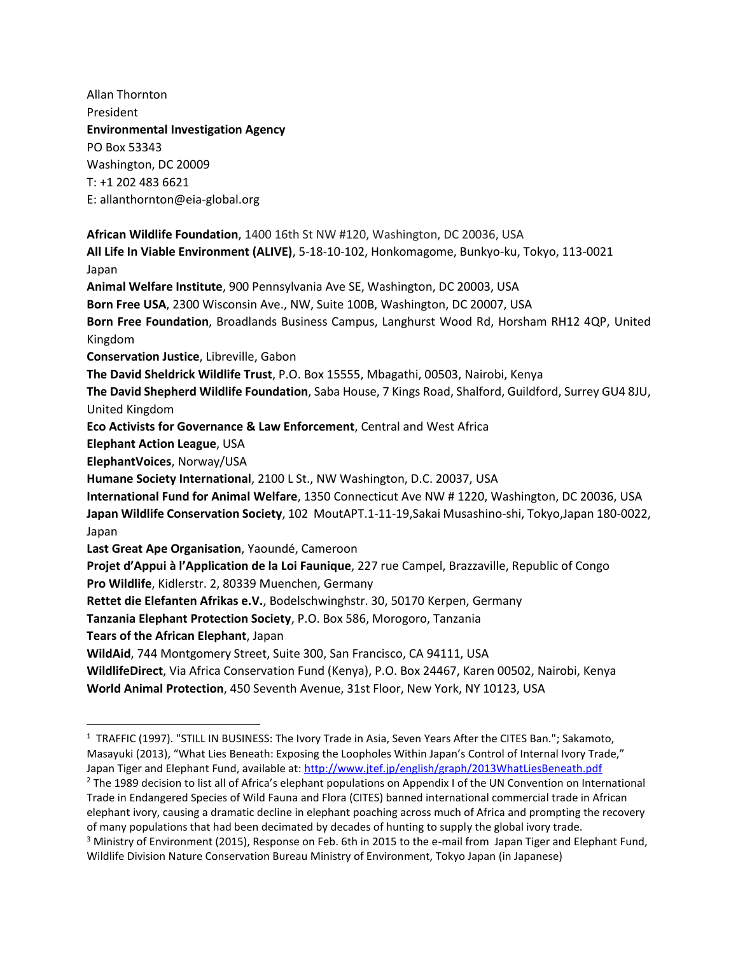Allan Thornton President **Environmental Investigation Agency** PO Box 53343 Washington, DC 20009 T: +1 202 483 6621 E: allanthornton@eia-global.org

 $\overline{a}$ 

**African Wildlife Foundation**, 1400 16th St NW #120, Washington, DC 20036, USA **All Life In Viable Environment (ALIVE)**, 5-18-10-102, Honkomagome, Bunkyo-ku, Tokyo, 113-0021 Japan **Animal Welfare Institute**, 900 Pennsylvania Ave SE, Washington, DC 20003, USA **Born Free USA**, 2300 Wisconsin Ave., NW, Suite 100B, Washington, DC 20007, USA **Born Free Foundation**, Broadlands Business Campus, Langhurst Wood Rd, Horsham RH12 4QP, United Kingdom **Conservation Justice**, Libreville, Gabon **The David Sheldrick Wildlife Trust**, P.O. Box 15555, Mbagathi, 00503, Nairobi, Kenya **The David Shepherd Wildlife Foundation**, Saba House, 7 Kings Road, Shalford, Guildford, Surrey GU4 8JU, United Kingdom **Eco Activists for Governance & Law Enforcement**, Central and West Africa **Elephant Action League**, USA **ElephantVoices**, Norway/USA **Humane Society International**, 2100 L St., NW Washington, D.C. 20037, USA **International Fund for Animal Welfare**, 1350 Connecticut Ave NW # 1220, Washington, DC 20036, USA **Japan Wildlife Conservation Society**, 102 MoutAPT.1-11-19,Sakai Musashino-shi, Tokyo,Japan 180-0022, Japan **Last Great Ape Organisation**, Yaoundé, Cameroon **Projet d'Appui à l'Application de la Loi Faunique**, 227 rue Campel, Brazzaville, Republic of Congo **Pro Wildlife**, Kidlerstr. 2, 80339 Muenchen, Germany **Rettet die Elefanten Afrikas e.V.**, Bodelschwinghstr. 30, 50170 Kerpen, Germany **Tanzania Elephant Protection Society**, P.O. Box 586, Morogoro, Tanzania **Tears of the African Elephant**, Japan **WildAid**, 744 Montgomery Street, Suite 300, San Francisco, CA 94111, USA **WildlifeDirect**, Via Africa Conservation Fund (Kenya), P.O. Box 24467, Karen 00502, Nairobi, Kenya **World Animal Protection**, 450 Seventh Avenue, 31st Floor, New York, NY 10123, USA

<sup>2</sup> The 1989 decision to list all of Africa's elephant populations on Appendix I of the UN Convention on International Trade in Endangered Species of Wild Fauna and Flora (CITES) banned international commercial trade in African elephant ivory, causing a dramatic decline in elephant poaching across much of Africa and prompting the recovery of many populations that had been decimated by decades of hunting to supply the global ivory trade.

<sup>&</sup>lt;sup>1</sup> TRAFFIC (1997). "STILL IN BUSINESS: The Ivory Trade in Asia, Seven Years After the CITES Ban."; Sakamoto, Masayuki (2013), "What Lies Beneath: Exposing the Loopholes Within Japan's Control of Internal Ivory Trade," Japan Tiger and Elephant Fund, available at[: http://www.jtef.jp/english/graph/2013WhatLiesBeneath.pdf](http://www.jtef.jp/english/graph/2013WhatLiesBeneath.pdf)

<sup>&</sup>lt;sup>3</sup> Ministry of Environment (2015), Response on Feb. 6th in 2015 to the e-mail from Japan Tiger and Elephant Fund, Wildlife Division Nature Conservation Bureau Ministry of Environment, Tokyo Japan (in Japanese)